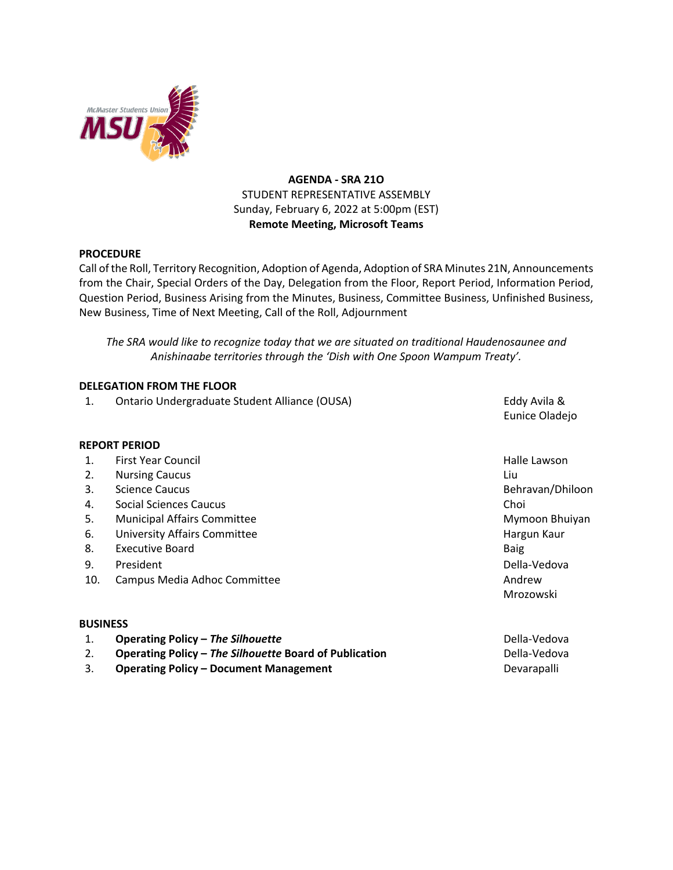

# **AGENDA - SRA 21O** STUDENT REPRESENTATIVE ASSEMBLY Sunday, February 6, 2022 at 5:00pm (EST) **Remote Meeting, Microsoft Teams**

### **PROCEDURE**

Call of the Roll, Territory Recognition, Adoption of Agenda, Adoption of SRA Minutes 21N, Announcements from the Chair, Special Orders of the Day, Delegation from the Floor, Report Period, Information Period, Question Period, Business Arising from the Minutes, Business, Committee Business, Unfinished Business, New Business, Time of Next Meeting, Call of the Roll, Adjournment

*The SRA would like to recognize today that we are situated on traditional Haudenosaunee and Anishinaabe territories through the 'Dish with One Spoon Wampum Treaty'.*

### **DELEGATION FROM THE FLOOR**

1. Ontario Undergraduate Student Alliance (OUSA) The Contract Countries and Muslem Countries and Muslem Countries

Eunice Oladejo

#### **REPORT PERIOD**

- 1. First Year Council **Halle Lawson Halle Lawson**
- 2. Nursing Caucus Liu
- 3. Science Caucus Behravan/Dhiloon Behravan/Dhiloon
- 4. Social Sciences Caucus Choi
- 5. Municipal Affairs Committee Mymoon Bhuiyan and Society and Society Affairs Committee Mymoon Bhuiyan
- 6. University Affairs Committee **Hargun Kauraway** Hargun Kauraway Hargun Kauraway Hargun Kauraway Hargun Kauraway
- 8. Executive Board Baig and Baig and Baig and Baig and Baig and Baig and Baig and Baig and Baig and Baig and Baig
- 9. President Della-Vedova
- 10. Campus Media Adhoc Committee Andrew

#### **BUSINESS**

- 1. **Operating Policy The Silhouette Community Community Community Community Community Community Community Community Community Community Community Community Community Community Community Community Community Community Co**
- 2. **Operating Policy The Silhouette Board of Publication Della-Vedova**
- 3. **Operating Policy Document Management** Devarapalling Devarapalling Devarapalling Devarapalling Devarapalling Devarapalling Devarapalling Devarapalling Devarapalling Devarapalling Devarapalling Devarapalling Devarapall
- Mrozowski
-